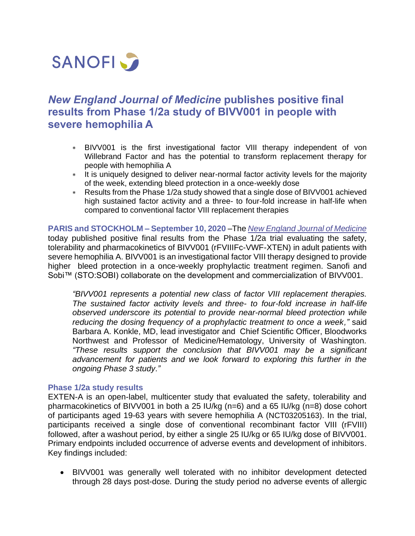

# *New England Journal of Medicine* **publishes positive final results from Phase 1/2a study of BIVV001 in people with severe hemophilia A**

- BIVV001 is the first investigational factor VIII therapy independent of von Willebrand Factor and has the potential to transform replacement therapy for people with hemophilia A
- \* It is uniquely designed to deliver near-normal factor activity levels for the majority of the week, extending bleed protection in a once-weekly dose
- Results from the Phase 1/2a study showed that a single dose of BIVV001 achieved high sustained factor activity and a three- to four-fold increase in half-life when compared to conventional factor VIII replacement therapies

**PARIS and STOCKHOLM – September 10, 2020** –The *[New England Journal of Medicine](https://www.nejm.org/doi/full/10.1056/NEJMoa2002699)* today published positive final results from the Phase 1/2a trial evaluating the safety, tolerability and pharmacokinetics of BIVV001 (rFVIIIFc-VWF-XTEN) in adult patients with severe hemophilia A. BIVV001 is an investigational factor VIII therapy designed to provide higher bleed protection in a once-weekly prophylactic treatment regimen. Sanofi and Sobi™ (STO:SOBI) collaborate on the development and commercialization of BIVV001.

*"BIVV001 represents a potential new class of factor VIII replacement therapies. The sustained factor activity levels and three- to four-fold increase in half-life observed underscore its potential to provide near-normal bleed protection while reducing the dosing frequency of a prophylactic treatment to once a week,"* said Barbara A. Konkle, MD, lead investigator and Chief Scientific Officer, Bloodworks Northwest and Professor of Medicine/Hematology, University of Washington. *"These results support the conclusion that BIVV001 may be a significant advancement for patients and we look forward to exploring this further in the ongoing Phase 3 study."*

# **Phase 1/2a study results**

EXTEN-A is an open-label, multicenter study that evaluated the safety, tolerability and pharmacokinetics of BIVV001 in both a 25 IU/kg (n=6) and a 65 IU/kg (n=8) dose cohort of participants aged 19-63 years with severe hemophilia A (NCT03205163). In the trial, participants received a single dose of conventional recombinant factor VIII (rFVIII) followed, after a washout period, by either a single 25 IU/kg or 65 IU/kg dose of BIVV001. Primary endpoints included occurrence of adverse events and development of inhibitors. Key findings included:

• BIVV001 was generally well tolerated with no inhibitor development detected through 28 days post-dose. During the study period no adverse events of allergic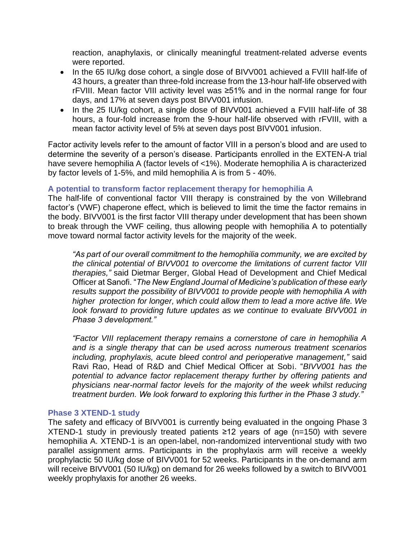reaction, anaphylaxis, or clinically meaningful treatment-related adverse events were reported.

- In the 65 IU/kg dose cohort, a single dose of BIVV001 achieved a FVIII half-life of 43 hours, a greater than three-fold increase from the 13-hour half-life observed with rFVIII. Mean factor VIII activity level was ≥51% and in the normal range for four days, and 17% at seven days post BIVV001 infusion.
- In the 25 IU/kg cohort, a single dose of BIVV001 achieved a FVIII half-life of 38 hours, a four-fold increase from the 9-hour half-life observed with rFVIII, with a mean factor activity level of 5% at seven days post BIVV001 infusion.

Factor activity levels refer to the amount of factor VIII in a person's blood and are used to determine the severity of a person's disease. Participants enrolled in the EXTEN-A trial have severe hemophilia A (factor levels of <1%). Moderate hemophilia A is characterized by factor levels of 1-5%, and mild hemophilia A is from 5 - 40%.

# **A potential to transform factor replacement therapy for hemophilia A**

The half-life of conventional factor VIII therapy is constrained by the von Willebrand factor's (VWF) chaperone effect, which is believed to limit the time the factor remains in the body. BIVV001 is the first factor VIII therapy under development that has been shown to break through the VWF ceiling, thus allowing people with hemophilia A to potentially move toward normal factor activity levels for the majority of the week.

*"As part of our overall commitment to the hemophilia community, we are excited by the clinical potential of BIVV001 to overcome the limitations of current factor VIII therapies,"* said Dietmar Berger, Global Head of Development and Chief Medical Officer at Sanofi. "*The New England Journal of Medicine's publication of these early results support the possibility of BIVV001 to provide people with hemophilia A with higher protection for longer, which could allow them to lead a more active life. We look forward to providing future updates as we continue to evaluate BIVV001 in Phase 3 development."*

*"Factor VIII replacement therapy remains a cornerstone of care in hemophilia A and is a single therapy that can be used across numerous treatment scenarios including, prophylaxis, acute bleed control and perioperative management,"* said Ravi Rao, Head of R&D and Chief Medical Officer at Sobi. "*BIVV001 has the potential to advance factor replacement therapy further by offering patients and physicians near-normal factor levels for the majority of the week whilst reducing treatment burden. We look forward to exploring this further in the Phase 3 study."*

# **Phase 3 XTEND-1 study**

The safety and efficacy of BIVV001 is currently being evaluated in the ongoing Phase 3 XTEND-1 study in previously treated patients ≥12 years of age (n=150) with severe hemophilia A. XTEND-1 is an open-label, non-randomized interventional study with two parallel assignment arms. Participants in the prophylaxis arm will receive a weekly prophylactic 50 IU/kg dose of BIVV001 for 52 weeks. Participants in the on-demand arm will receive BIVV001 (50 IU/kg) on demand for 26 weeks followed by a switch to BIVV001 weekly prophylaxis for another 26 weeks.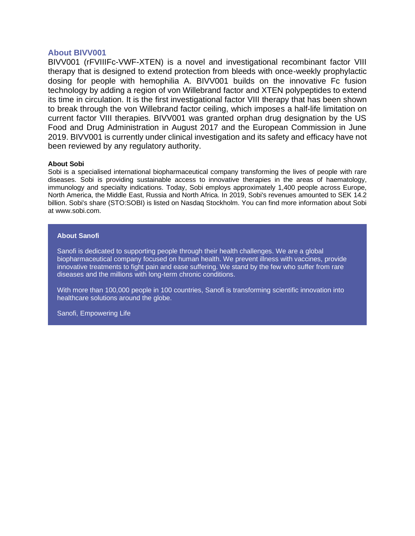## **About BIVV001**

BIVV001 (rFVIIIFc-VWF-XTEN) is a novel and investigational recombinant factor VIII therapy that is designed to extend protection from bleeds with once-weekly prophylactic dosing for people with hemophilia A. BIVV001 builds on the innovative Fc fusion technology by adding a region of von Willebrand factor and XTEN polypeptides to extend its time in circulation. It is the first investigational factor VIII therapy that has been shown to break through the von Willebrand factor ceiling, which imposes a half-life limitation on current factor VIII therapies. BIVV001 was granted orphan drug designation by the US Food and Drug Administration in August 2017 and the European Commission in June 2019. BIVV001 is currently under clinical investigation and its safety and efficacy have not been reviewed by any regulatory authority.

### **About Sobi**

Sobi is a specialised international biopharmaceutical company transforming the lives of people with rare diseases. Sobi is providing sustainable access to innovative therapies in the areas of haematology, immunology and specialty indications. Today, Sobi employs approximately 1,400 people across Europe, North America, the Middle East, Russia and North Africa. In 2019, Sobi's revenues amounted to SEK 14.2 billion. Sobi's share (STO:SOBI) is listed on Nasdaq Stockholm. You can find more information about Sobi at [www.sobi.com.](http://www.sobi.com/)

#### **About Sanofi**

Sanofi is dedicated to supporting people through their health challenges. We are a global biopharmaceutical company focused on human health. We prevent illness with vaccines, provide innovative treatments to fight pain and ease suffering. We stand by the few who suffer from rare diseases and the millions with long-term chronic conditions.

With more than 100,000 people in 100 countries, Sanofi is transforming scientific innovation into healthcare solutions around the globe.

Sanofi, Empowering Life